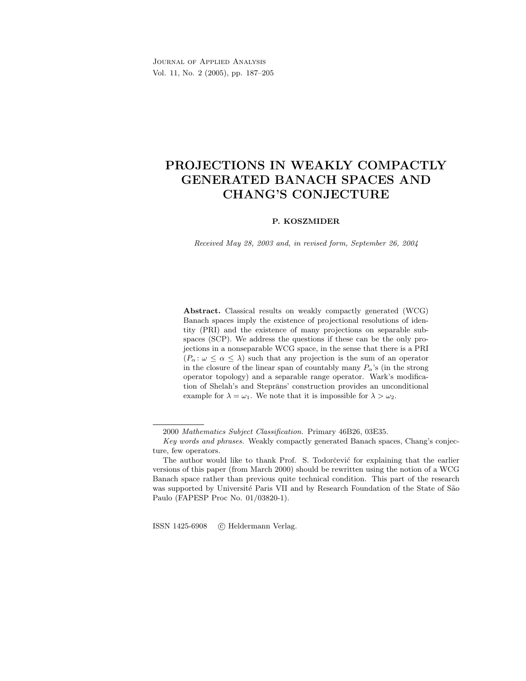Journal of Applied Analysis Vol. 11, No. 2 (2005), pp. 187–205

# PROJECTIONS IN WEAKLY COMPACTLY GENERATED BANACH SPACES AND CHANG'S CONJECTURE

## P. KOSZMIDER

Received May 28, 2003 and, in revised form, September 26, 2004

Abstract. Classical results on weakly compactly generated (WCG) Banach spaces imply the existence of projectional resolutions of identity (PRI) and the existence of many projections on separable subspaces (SCP). We address the questions if these can be the only projections in a nonseparable WCG space, in the sense that there is a PRI  $(P_{\alpha}: \omega \leq \alpha \leq \lambda)$  such that any projection is the sum of an operator in the closure of the linear span of countably many  $P_{\alpha}$ 's (in the strong operator topology) and a separable range operator. Wark's modification of Shelah's and Steprāns' construction provides an unconditional example for  $\lambda = \omega_1$ . We note that it is impossible for  $\lambda > \omega_2$ .

ISSN 1425-6908 (C) Heldermann Verlag.

<sup>2000</sup> Mathematics Subject Classification. Primary 46B26, 03E35.

Key words and phrases. Weakly compactly generated Banach spaces, Chang's conjecture, few operators.

The author would like to thank Prof. S. Todorcevic for explaining that the earlier versions of this paper (from March 2000) should be rewritten using the notion of a WCG Banach space rather than previous quite technical condition. This part of the research was supported by Université Paris VII and by Research Foundation of the State of São Paulo (FAPESP Proc No. 01/03820-1).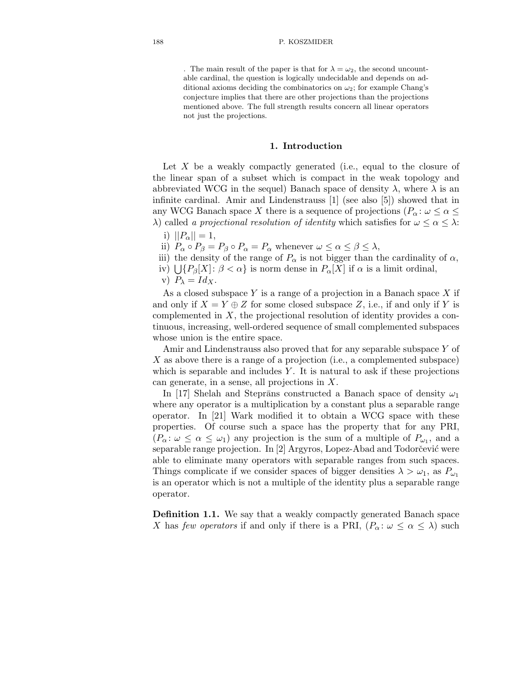. The main result of the paper is that for  $\lambda = \omega_2$ , the second uncountable cardinal, the question is logically undecidable and depends on additional axioms deciding the combinatorics on  $\omega_2$ ; for example Chang's conjecture implies that there are other projections than the projections mentioned above. The full strength results concern all linear operators not just the projections.

## 1. Introduction

Let X be a weakly compactly generated (i.e., equal to the closure of the linear span of a subset which is compact in the weak topology and abbreviated WCG in the sequel) Banach space of density  $\lambda$ , where  $\lambda$  is an infinite cardinal. Amir and Lindenstrauss [1] (see also [5]) showed that in any WCG Banach space X there is a sequence of projections ( $P_{\alpha} : \omega \leq \alpha \leq$ λ) called a projectional resolution of identity which satisfies for  $ω ≤ α ≤ λ$ :

- i)  $||P_{\alpha}|| = 1$ ,
- ii)  $P_{\alpha} \circ P_{\beta} = P_{\beta} \circ P_{\alpha} = P_{\alpha}$  whenever  $\omega \leq \alpha \leq \beta \leq \lambda$ ,
- iii) the density of the range of  $P_{\alpha}$  is not bigger than the cardinality of  $\alpha$ ,
- iv)  $\bigcup \{P_{\beta}[X]: \beta < \alpha\}$  is norm dense in  $P_{\alpha}[X]$  if  $\alpha$  is a limit ordinal,
- v)  $P_{\lambda} = Id_X$ .

As a closed subspace  $Y$  is a range of a projection in a Banach space  $X$  if and only if  $X = Y \oplus Z$  for some closed subspace Z, i.e., if and only if Y is complemented in  $X$ , the projectional resolution of identity provides a continuous, increasing, well-ordered sequence of small complemented subspaces whose union is the entire space.

Amir and Lindenstrauss also proved that for any separable subspace Y of X as above there is a range of a projection (i.e., a complemented subspace) which is separable and includes  $Y$ . It is natural to ask if these projections can generate, in a sense, all projections in X.

In [17] Shelah and Steprāns constructed a Banach space of density  $\omega_1$ where any operator is a multiplication by a constant plus a separable range operator. In [21] Wark modified it to obtain a WCG space with these properties. Of course such a space has the property that for any PRI,  $(P_\alpha: \omega \leq \alpha \leq \omega_1)$  any projection is the sum of a multiple of  $P_{\omega_1}$ , and a separable range projection. In [2] Argyros, Lopez-Abad and Todorčević were able to eliminate many operators with separable ranges from such spaces. Things complicate if we consider spaces of bigger densities  $\lambda > \omega_1$ , as  $P_{\omega_1}$ is an operator which is not a multiple of the identity plus a separable range operator.

Definition 1.1. We say that a weakly compactly generated Banach space X has few operators if and only if there is a PRI,  $(P_\alpha: \omega \leq \alpha \leq \lambda)$  such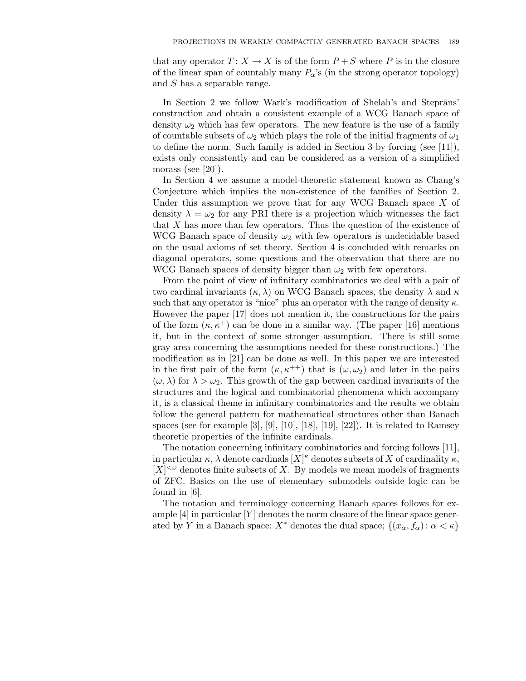that any operator  $T: X \to X$  is of the form  $P + S$  where P is in the closure of the linear span of countably many  $P_{\alpha}$ 's (in the strong operator topology) and S has a separable range.

In Section 2 we follow Wark's modification of Shelah's and Steprans' construction and obtain a consistent example of a WCG Banach space of density  $\omega_2$  which has few operators. The new feature is the use of a family of countable subsets of  $\omega_2$  which plays the role of the initial fragments of  $\omega_1$ to define the norm. Such family is added in Section 3 by forcing (see [11]), exists only consistently and can be considered as a version of a simplified morass (see [20]).

In Section 4 we assume a model-theoretic statement known as Chang's Conjecture which implies the non-existence of the families of Section 2. Under this assumption we prove that for any WCG Banach space  $X$  of density  $\lambda = \omega_2$  for any PRI there is a projection which witnesses the fact that  $X$  has more than few operators. Thus the question of the existence of WCG Banach space of density  $\omega_2$  with few operators is undecidable based on the usual axioms of set theory. Section 4 is concluded with remarks on diagonal operators, some questions and the observation that there are no WCG Banach spaces of density bigger than  $\omega_2$  with few operators.

From the point of view of infinitary combinatorics we deal with a pair of two cardinal invariants  $(\kappa, \lambda)$  on WCG Banach spaces, the density  $\lambda$  and  $\kappa$ such that any operator is "nice" plus an operator with the range of density  $\kappa$ . However the paper [17] does not mention it, the constructions for the pairs of the form  $(\kappa, \kappa^+)$  can be done in a similar way. (The paper [16] mentions it, but in the context of some stronger assumption. There is still some gray area concerning the assumptions needed for these constructions.) The modification as in [21] can be done as well. In this paper we are interested in the first pair of the form  $(\kappa, \kappa^{++})$  that is  $(\omega, \omega_2)$  and later in the pairs  $(\omega, \lambda)$  for  $\lambda > \omega_2$ . This growth of the gap between cardinal invariants of the structures and the logical and combinatorial phenomena which accompany it, is a classical theme in infinitary combinatorics and the results we obtain follow the general pattern for mathematical structures other than Banach spaces (see for example  $[3]$ ,  $[9]$ ,  $[10]$ ,  $[18]$ ,  $[19]$ ,  $[22]$ ). It is related to Ramsey theoretic properties of the infinite cardinals.

The notation concerning infinitary combinatorics and forcing follows [11], in particular  $\kappa$ ,  $\lambda$  denote cardinals  $[X]^{\kappa}$  denotes subsets of X of cardinality  $\kappa$ ,  $[X]^{<\omega}$  denotes finite subsets of X. By models we mean models of fragments of ZFC. Basics on the use of elementary submodels outside logic can be found in [6].

The notation and terminology concerning Banach spaces follows for example  $[4]$  in particular  $[Y]$  denotes the norm closure of the linear space generated by Y in a Banach space;  $X^*$  denotes the dual space;  $\{(x_\alpha, f_\alpha): \alpha < \kappa\}$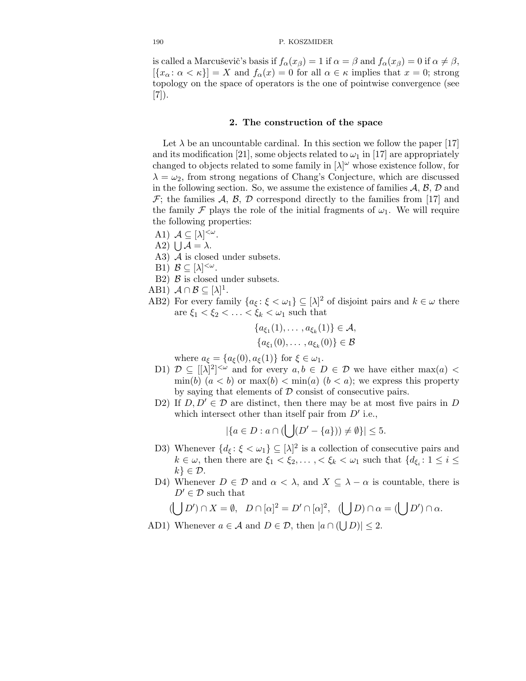is called a Marcuševič's basis if  $f_{\alpha}(x_{\beta}) = 1$  if  $\alpha = \beta$  and  $f_{\alpha}(x_{\beta}) = 0$  if  $\alpha \neq \beta$ ,  $[\{x_\alpha : \alpha < \kappa\}] = X$  and  $f_\alpha(x) = 0$  for all  $\alpha \in \kappa$  implies that  $x = 0$ ; strong topology on the space of operators is the one of pointwise convergence (see [7]).

# 2. The construction of the space

Let  $\lambda$  be an uncountable cardinal. In this section we follow the paper [17] and its modification [21], some objects related to  $\omega_1$  in [17] are appropriately changed to objects related to some family in  $[\lambda]^\omega$  whose existence follow, for  $\lambda = \omega_2$ , from strong negations of Chang's Conjecture, which are discussed in the following section. So, we assume the existence of families  $A, B, D$  and  $\mathcal{F}$ ; the families  $\mathcal{A}, \mathcal{B}, \mathcal{D}$  correspond directly to the families from [17] and the family F plays the role of the initial fragments of  $\omega_1$ . We will require the following properties:

- A1)  $A \subseteq [\lambda]^{<\omega}$ .
- A2)  $\bigcup$   $A = \lambda$ .
- A3) A is closed under subsets.
- B1)  $\mathcal{B} \subseteq [\lambda]^{<\omega}$ .

(

- B2)  $\beta$  is closed under subsets.
- AB1)  $\mathcal{A} \cap \mathcal{B} \subseteq [\lambda]^1$ .
- AB2) For every family  $\{a_{\xi} : \xi < \omega_1\} \subseteq [\lambda]^2$  of disjoint pairs and  $k \in \omega$  there are  $\xi_1 < \xi_2 < \ldots < \xi_k < \omega_1$  such that

$$
\{a_{\xi_1}(1), \ldots, a_{\xi_k}(1)\} \in \mathcal{A}, \{a_{\xi_1}(0), \ldots, a_{\xi_k}(0)\} \in \mathcal{B}
$$

where  $a_{\xi} = \{a_{\xi}(0), a_{\xi}(1)\}\$ for  $\xi \in \omega_1$ .

- D1)  $\mathcal{D} \subseteq [[\lambda]^2]^{<\omega}$  and for every  $a, b \in D \in \mathcal{D}$  we have either max(a) <  $\min(b)$   $(a < b)$  or  $\max(b) < \min(a)$   $(b < a)$ ; we express this property by saying that elements of  $D$  consist of consecutive pairs.
- D2) If  $D, D' \in \mathcal{D}$  are distinct, then there may be at most five pairs in D which intersect other than itself pair from  $D'$  i.e.,

$$
|\{a \in D : a \cap (\bigcup (D' - \{a\})) \neq \emptyset\}| \leq 5.
$$

- D3) Whenever  $\{d_{\xi} : \xi < \omega_1\} \subseteq [\lambda]^2$  is a collection of consecutive pairs and  $k \in \omega$ , then there are  $\xi_1 < \xi_2, \ldots, < \xi_k < \omega_1$  such that  $\{d_{\xi_i}: 1 \leq i \leq k\}$  $k \n\in \mathcal{D}$ .
- D4) Whenever  $D \in \mathcal{D}$  and  $\alpha < \lambda$ , and  $X \subseteq \lambda \alpha$  is countable, there is  $D' \in \mathcal{D}$  such that

$$
(\bigcup D') \cap X = \emptyset, \quad D \cap [\alpha]^2 = D' \cap [\alpha]^2, \quad (\bigcup D) \cap \alpha = (\bigcup D') \cap \alpha.
$$

AD1) Whenever  $a \in \mathcal{A}$  and  $D \in \mathcal{D}$ , then  $|a \cap (\bigcup D)| \leq 2$ .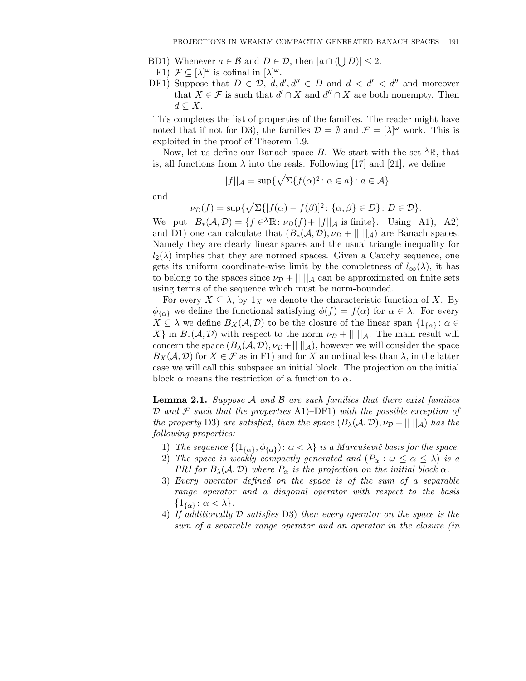- BD1) Whenever  $a \in \mathcal{B}$  and  $D \in \mathcal{D}$ , then  $|a \cap (\bigcup D)| \leq 2$ .
- F1)  $\mathcal{F} \subseteq [\lambda]^\omega$  is cofinal in  $[\lambda]^\omega$ .
- DF1) Suppose that  $D \in \mathcal{D}$ ,  $d, d', d'' \in D$  and  $d < d' < d''$  and moreover that  $X \in \mathcal{F}$  is such that  $d' \cap X$  and  $d'' \cap X$  are both nonempty. Then  $d \subseteq X$ .

This completes the list of properties of the families. The reader might have noted that if not for D3), the families  $\mathcal{D} = \emptyset$  and  $\mathcal{F} = [\lambda]^\omega$  work. This is exploited in the proof of Theorem 1.9.

Now, let us define our Banach space B. We start with the set  $\lambda \mathbb{R}$ , that is, all functions from  $\lambda$  into the reals. Following [17] and [21], we define

$$
||f||_{\mathcal{A}} = \sup \{ \sqrt{\Sigma \{ f(\alpha)^2 \colon \alpha \in a \}} \colon a \in \mathcal{A} \}
$$

and

$$
\nu_{\mathcal{D}}(f) = \sup \{ \sqrt{\Sigma\{ [f(\alpha) - f(\beta)]^2} : \{ \alpha, \beta \} \in D \} : D \in \mathcal{D} \}.
$$

We put  $B_*(A, \mathcal{D}) = \{f \in \Lambda \mathbb{R}: \nu_{\mathcal{D}}(f) + ||f||_A \text{ is finite}\}.$  Using A1), A2) and D1) one can calculate that  $(B_*(A, \mathcal{D}), \nu_{\mathcal{D}} + || \cdot ||_A)$  are Banach spaces. Namely they are clearly linear spaces and the usual triangle inequality for  $l_2(\lambda)$  implies that they are normed spaces. Given a Cauchy sequence, one gets its uniform coordinate-wise limit by the completness of  $l_{\infty}(\lambda)$ , it has to belong to the spaces since  $\nu_{\mathcal{D}}$  +  $|| \cdot ||_{\mathcal{A}}$  can be approximated on finite sets using terms of the sequence which must be norm-bounded.

For every  $X \subseteq \lambda$ , by  $1_X$  we denote the characteristic function of X. By  $\phi_{\{\alpha\}}$  we define the functional satisfying  $\phi(f) = f(\alpha)$  for  $\alpha \in \lambda$ . For every  $X \subseteq \lambda$  we define  $B_X(\mathcal{A}, \mathcal{D})$  to be the closure of the linear span  $\{1_{\{\alpha\}} : \alpha \in \mathbb{R}^n : \alpha \in \mathbb{R}^n\}$ X} in  $B_*(A, \mathcal{D})$  with respect to the norm  $\nu_{\mathcal{D}}$  + || ||<sub>A</sub>. The main result will concern the space  $(B_\lambda(\mathcal{A}, \mathcal{D}), \nu_\mathcal{D} + || \, ||_{\mathcal{A}})$ , however we will consider the space  $B_X(\mathcal{A}, \mathcal{D})$  for  $X \in \mathcal{F}$  as in F1) and for X an ordinal less than  $\lambda$ , in the latter case we will call this subspace an initial block. The projection on the initial block  $\alpha$  means the restriction of a function to  $\alpha$ .

**Lemma 2.1.** Suppose  $\mathcal A$  and  $\mathcal B$  are such families that there exist families  $\mathcal D$  and  $\mathcal F$  such that the properties A1)–DF1) with the possible exception of the property D3) are satisfied, then the space  $(B_{\lambda}(A, D), \nu_{D} + || \ ||_{A})$  has the following properties:

- 1) The sequence  $\{(1_{\{\alpha\}}, \phi_{\{\alpha\}}): \alpha < \lambda\}$  is a Marcuševič basis for the space.
- 2) The space is weakly compactly generated and  $(P_\alpha : \omega \leq \alpha \leq \lambda)$  is a PRI for  $B_{\lambda}(\mathcal{A}, \mathcal{D})$  where  $P_{\alpha}$  is the projection on the initial block  $\alpha$ .
- 3) Every operator defined on the space is of the sum of a separable range operator and a diagonal operator with respect to the basis  $\{1_{\{\alpha\}} : \alpha < \lambda\}.$
- 4) If additionally D satisfies D3) then every operator on the space is the sum of a separable range operator and an operator in the closure (in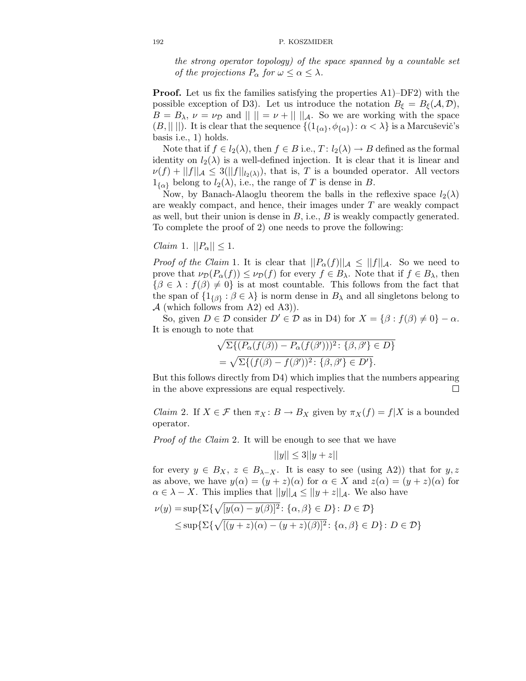the strong operator topology) of the space spanned by a countable set of the projections  $P_{\alpha}$  for  $\omega \leq \alpha \leq \lambda$ .

**Proof.** Let us fix the families satisfying the properties A1)–DF2) with the possible exception of D3). Let us introduce the notation  $B_{\xi} = B_{\xi}(A, \mathcal{D}),$  $B = B_{\lambda}, \nu = \nu_{\mathcal{D}}$  and  $\|\|\| = \nu + \|\|A\|$ . So we are working with the space  $(B, || ||)$ . It is clear that the sequence  $\{(1_{\{\alpha\}}, \phi_{\{\alpha\}}): \alpha < \lambda\}$  is a Marcusevic's basis i.e., 1) holds.

Note that if  $f \in l_2(\lambda)$ , then  $f \in B$  i.e.,  $T: l_2(\lambda) \to B$  defined as the formal identity on  $l_2(\lambda)$  is a well-defined injection. It is clear that it is linear and  $\nu(f) + ||f||_{\mathcal{A}} \leq 3(||f||_{l_2(\lambda)})$ , that is, T is a bounded operator. All vectors  $1_{\{\alpha\}}$  belong to  $l_2(\lambda)$ , i.e., the range of T is dense in B.

Now, by Banach-Alaoglu theorem the balls in the reflexive space  $l_2(\lambda)$ are weakly compact, and hence, their images under  $T$  are weakly compact as well, but their union is dense in  $B$ , i.e.,  $B$  is weakly compactly generated. To complete the proof of 2) one needs to prove the following:

Claim 1.  $||P_{\alpha}|| \leq 1$ .

*Proof of the Claim* 1. It is clear that  $||P_{\alpha}(f)||_{\mathcal{A}} \leq ||f||_{\mathcal{A}}$ . So we need to prove that  $\nu_{\mathcal{D}}(P_{\alpha}(f)) \leq \nu_{\mathcal{D}}(f)$  for every  $f \in B_{\lambda}$ . Note that if  $f \in B_{\lambda}$ , then  ${\beta \in \lambda : f(\beta) \neq 0}$  is at most countable. This follows from the fact that the span of  $\{1_{\{\beta\}} : \beta \in \lambda\}$  is norm dense in  $B_{\lambda}$  and all singletons belong to  $A$  (which follows from A2) ed A3)).

So, given  $D \in \mathcal{D}$  consider  $D' \in \mathcal{D}$  as in D4) for  $X = \{\beta : f(\beta) \neq 0\} - \alpha$ . It is enough to note that

$$
\sqrt{\Sigma\{(P_{\alpha}(f(\beta)) - P_{\alpha}(f(\beta')))^{2} : \{\beta, \beta'\} \in D\}}
$$
  
= 
$$
\sqrt{\Sigma\{(f(\beta) - f(\beta'))^{2} : \{\beta, \beta'\} \in D'\}}.
$$

But this follows directly from D4) which implies that the numbers appearing in the above expressions are equal respectively.  $\Box$ 

*Claim* 2. If  $X \in \mathcal{F}$  then  $\pi_X : B \to B_X$  given by  $\pi_X(f) = f|X$  is a bounded operator.

Proof of the Claim 2. It will be enough to see that we have

$$
||y|| \le 3||y+z||
$$

for every  $y \in B_X$ ,  $z \in B_{\lambda-X}$ . It is easy to see (using A2)) that for  $y, z$ as above, we have  $y(\alpha) = (y + z)(\alpha)$  for  $\alpha \in X$  and  $z(\alpha) = (y + z)(\alpha)$  for  $\alpha \in \lambda - X$ . This implies that  $||y||_{\mathcal{A}} \le ||y + z||_{\mathcal{A}}$ . We also have

$$
\nu(y) = \sup \{ \Sigma \{ \sqrt{[y(\alpha) - y(\beta)]^2} : \{ \alpha, \beta \} \in D \} : D \in \mathcal{D} \}
$$
  
\$\leq\$ sup{ $\Sigma \{ \sqrt{[(y + z)(\alpha) - (y + z)(\beta)]^2} : \{ \alpha, \beta \} \in D \} : D \in \mathcal{D} \}$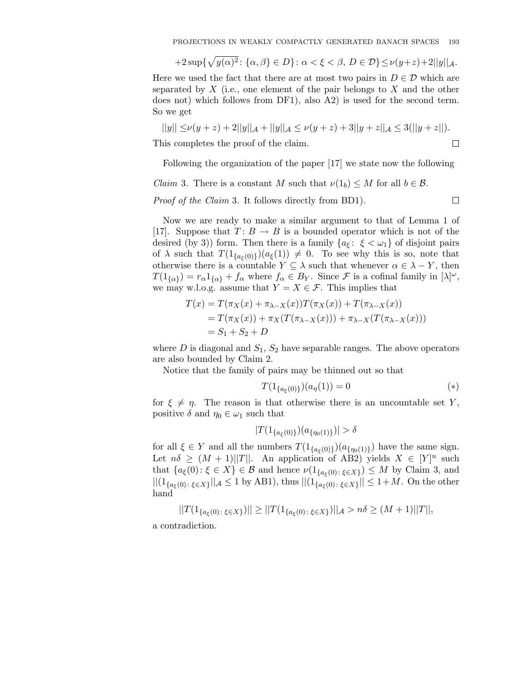$$
+2\sup\{\sqrt{y(\alpha)^2}\colon\{\alpha,\beta\}\in D\}\colon\alpha<\xi<\beta,\,D\in\mathcal{D}\}\leq\nu(y+z)+2||y||_{\mathcal{A}}.
$$

Here we used the fact that there are at most two pairs in  $D \in \mathcal{D}$  which are separated by  $X$  (i.e., one element of the pair belongs to  $X$  and the other does not) which follows from DF1), also A2) is used for the second term. So we get

$$
||y|| \le \nu(y+z) + 2||y||_{\mathcal{A}} + ||y||_{\mathcal{A}} \le \nu(y+z) + 3||y+z||_{\mathcal{A}} \le 3(||y+z||).
$$
  
his completes the proof of the claim.

This completes the proof of the claim.

Following the organization of the paper [17] we state now the following

*Claim* 3. There is a constant M such that  $\nu(1_b) \leq M$  for all  $b \in \mathcal{B}$ .

Proof of the Claim 3. It follows directly from BD1).

Now we are ready to make a similar argument to that of Lemma 1 of [17]. Suppose that  $T: B \to B$  is a bounded operator which is not of the desired (by 3)) form. Then there is a family  $\{a_{\xi}: \xi < \omega_1\}$  of disjoint pairs of  $\lambda$  such that  $T(1_{\{a_{\xi}(0)\}})(a_{\xi}(1)) \neq 0$ . To see why this is so, note that otherwise there is a countable  $Y \subseteq \lambda$  such that whenever  $\alpha \in \lambda - Y$ , then  $T(1_{\{\alpha\}}) = r_{\alpha} 1_{\{\alpha\}} + f_{\alpha}$  where  $f_{\alpha} \in B_Y$ . Since  $\mathcal F$  is a cofinal family in  $[\lambda]^{\omega}$ , we may w.l.o.g. assume that  $Y = X \in \mathcal{F}$ . This implies that

$$
T(x) = T(\pi_X(x) + \pi_{\lambda - X}(x))T(\pi_X(x)) + T(\pi_{\lambda - X}(x))
$$
  
=  $T(\pi_X(x)) + \pi_X(T(\pi_{\lambda - X}(x))) + \pi_{\lambda - X}(T(\pi_{\lambda - X}(x)))$   
=  $S_1 + S_2 + D$ 

where  $D$  is diagonal and  $S_1, S_2$  have separable ranges. The above operators are also bounded by Claim 2.

Notice that the family of pairs may be thinned out so that

$$
T(1_{\{a_{\xi}(0)\}})(a_{\eta}(1)) = 0 \tag{*}
$$

for  $\xi \neq \eta$ . The reason is that otherwise there is an uncountable set Y, positive  $\delta$  and  $\eta_0 \in \omega_1$  such that

$$
|T(1_{\{a_{\xi}(0)\}})(a_{\{\eta_0(1)\}})| > \delta
$$

for all  $\xi \in Y$  and all the numbers  $T(1_{\{a_{\xi}(0)\}})(a_{\{\eta_0(1)\}})$  have the same sign. Let  $n\delta \geq (M+1)||T||$ . An application of AB2) yields  $X \in [Y]^n$  such that  $\{a_{\xi}(0): \xi \in X\} \in \mathcal{B}$  and hence  $\nu(1_{\{a_{\xi}(0):\xi \in X\}}) \leq M$  by Claim 3, and  $||(1_{\{a_{\xi}(0):\xi\in X\}}||_{\mathcal{A}} \leq 1 \text{ by AB1}), \text{ thus } ||(1_{\{a_{\xi}(0):\xi\in X\}}|| \leq 1+M. \text{ On the other})$ hand

$$
||T(1_{\{a_{\xi}(0):\xi\in X\}})|| \geq ||T(1_{\{a_{\xi}(0):\xi\in X\}})||_{\mathcal{A}} > n\delta \geq (M+1)||T||,
$$

a contradiction.

 $\Box$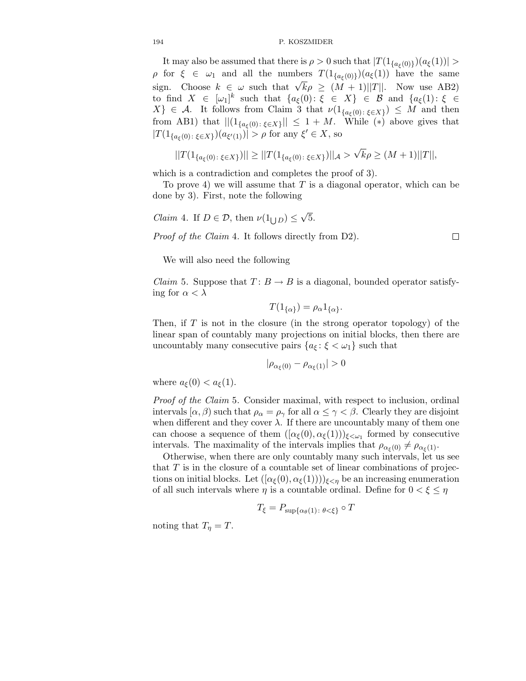It may also be assumed that there is  $\rho > 0$  such that  $|T(1_{\{a_{\xi}(0)\}})(a_{\xi}(1))| >$  $ρ$  for  $ξ ∈ ω_1$  and all the numbers  $T(1_{\{aξ(0)\}})(aξ(1))$  have the same sign. Choose  $k \in \omega$  such that  $\sqrt{k}\rho \ge (M+1)||T||$ . Now use AB2) to find  $X \in [\omega_1]^k$  such that  $\{a_{\xi}(0): \xi \in X\} \in \mathcal{B}$  and  $\{a_{\xi}(1): \xi \in \mathcal{B}\}$  $X\}\in\mathcal{A}$ . It follows from Claim 3 that  $\nu(1_{\{a_{\xi}(0):\xi\in X\}})\leq M$  and then from AB1) that  $||(1_{\{a_{\xi}(0):\xi\in X\}}|| \leq 1+M$ . While (\*) above gives that  $|T(1_{\{a_{\xi}(0):\xi\in X\}})(a_{\xi'(1)})| > \rho$  for any  $\xi' \in X$ , so

$$
||T(1_{\{a_{\xi}(0):\xi\in X\}})|| \geq ||T(1_{\{a_{\xi}(0):\xi\in X\}})||_{\mathcal{A}} > \sqrt{k}\rho \geq (M+1)||T||,
$$

which is a contradiction and completes the proof of 3).

To prove 4) we will assume that  $T$  is a diagonal operator, which can be done by 3). First, note the following

*Claim* 4. If  $D \in \mathcal{D}$ , then  $\nu(1_{\bigcup D}) \leq \sqrt{5}$ .

Proof of the Claim 4. It follows directly from D2).

We will also need the following

*Claim* 5. Suppose that  $T: B \to B$  is a diagonal, bounded operator satisfying for  $\alpha < \lambda$ 

$$
T(1_{\{\alpha\}}) = \rho_{\alpha} 1_{\{\alpha\}}.
$$

Then, if  $T$  is not in the closure (in the strong operator topology) of the linear span of countably many projections on initial blocks, then there are uncountably many consecutive pairs  $\{a_{\xi} : \xi < \omega_1\}$  such that

$$
|\rho_{\alpha_{\xi}(0)} - \rho_{\alpha_{\xi}(1)}| > 0
$$

where  $a_{\xi}(0) < a_{\xi}(1)$ .

Proof of the Claim 5. Consider maximal, with respect to inclusion, ordinal intervals  $[\alpha, \beta)$  such that  $\rho_{\alpha} = \rho_{\gamma}$  for all  $\alpha \leq \gamma < \beta$ . Clearly they are disjoint when different and they cover  $\lambda$ . If there are uncountably many of them one can choose a sequence of them  $([\alpha_{\xi}(0), \alpha_{\xi}(1))]_{\xi \leq \omega_1}$  formed by consecutive intervals. The maximality of the intervals implies that  $\rho_{\alpha_{\xi}(0)} \neq \rho_{\alpha_{\xi}(1)}$ .

Otherwise, when there are only countably many such intervals, let us see that  $T$  is in the closure of a countable set of linear combinations of projections on initial blocks. Let  $([\alpha_{\xi}(0), \alpha_{\xi}(1))))_{\xi \leq \eta}$  be an increasing enumeration of all such intervals where  $\eta$  is a countable ordinal. Define for  $0 < \xi \leq \eta$ 

$$
T_{\xi} = P_{\sup\{\alpha_{\theta}(1)\colon \theta < \xi\}} \circ T
$$

noting that  $T_{\eta} = T$ .

$$
\Box
$$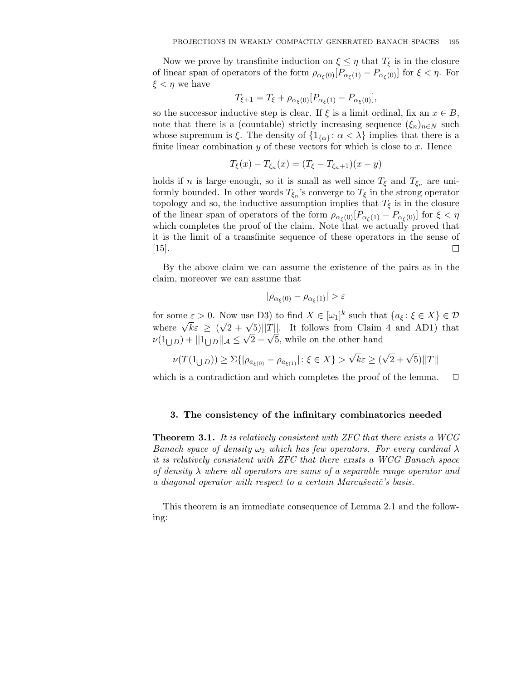Now we prove by transfinite induction on  $\xi \leq \eta$  that  $T_{\xi}$  is in the closure of linear span of operators of the form  $\rho_{\alpha_{\xi}(0)}[P_{\alpha_{\xi}(1)}-P_{\alpha_{\xi}(0)}]$  for  $\xi < \eta$ . For  $\xi < \eta$  we have

$$
T_{\xi+1} = T_{\xi} + \rho_{\alpha_{\xi}(0)} [P_{\alpha_{\xi}(1)} - P_{\alpha_{\xi}(0)}],
$$

so the successor inductive step is clear. If  $\xi$  is a limit ordinal, fix an  $x \in B$ , note that there is a (countable) strictly increasing sequence  $(\xi_n)_{n\in\mathbb{N}}$  such whose supremum is  $\xi$ . The density of  $\{1_{\{\alpha\}} : \alpha < \lambda\}$  implies that there is a finite linear combination  $y$  of these vectors for which is close to  $x$ . Hence

$$
T_{\xi}(x) - T_{\xi_n}(x) = (T_{\xi} - T_{\xi_n+1})(x - y)
$$

holds if n is large enough, so it is small as well since  $T_{\xi}$  and  $T_{\xi_n}$  are uniformly bounded. In other words  $T_{\xi_n}$ 's converge to  $T_{\xi}$  in the strong operator topology and so, the inductive assumption implies that  $T_{\xi}$  is in the closure of the linear span of operators of the form  $\rho_{\alpha\xi(0)}[P_{\alpha\xi(1)}-P_{\alpha\xi(0)}]$  for  $\xi<\eta$ which completes the proof of the claim. Note that we actually proved that it is the limit of a transfinite sequence of these operators in the sense of П  $|15|$ .

By the above claim we can assume the existence of the pairs as in the claim, moreover we can assume that

$$
|\rho_{\alpha_{\xi}(0)} - \rho_{\alpha_{\xi}(1)}| > \varepsilon
$$

for some  $\varepsilon > 0$ . Now use D3) to find  $X \in [\omega_1]^k$  such that  $\{a_{\xi} : \xi \in X\} \in \mathcal{D}$ where  $\sqrt{k}\varepsilon \geq (\sqrt{2} + \sqrt{5})||T||$ . It follows from Claim 4 and AD1) that  $\nu(1_{\bigcup D}) + ||1_{\bigcup D}||_{\mathcal{A}} \le$  $\sqrt{2} + \sqrt{5}$ , while on the other hand

$$
\nu(T(1_{\bigcup D})) \geq \Sigma\{|\rho_{a_{\xi(0)}} - \rho_{a_{\xi(1)}}| : \xi \in X\} > \sqrt{k}\varepsilon \geq (\sqrt{2} + \sqrt{5})||T||
$$

which is a contradiction and which completes the proof of the lemma.  $\Box$ 

## 3. The consistency of the infinitary combinatorics needed

**Theorem 3.1.** It is relatively consistent with ZFC that there exists a WCG Banach space of density  $\omega_2$  which has few operators. For every cardinal  $\lambda$ it is relatively consistent with ZFC that there exists a WCG Banach space of density  $\lambda$  where all operators are sums of a separable range operator and a diagonal operator with respect to a certain Marcuševič's basis.

This theorem is an immediate consequence of Lemma 2.1 and the following: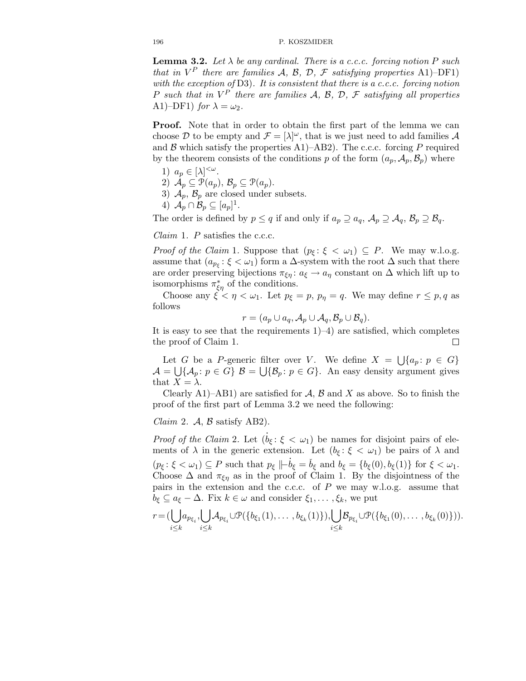**Lemma 3.2.** Let  $\lambda$  be any cardinal. There is a c.c.c. forcing notion P such that in  $V^P$  there are families A, B, D, F satisfying properties A1)–DF1) with the exception of  $D3$ ). It is consistent that there is a c.c.c. forcing notion P such that in  $V^P$  there are families A, B, D, F satisfying all properties A1)–DF1) for  $\lambda = \omega_2$ .

Proof. Note that in order to obtain the first part of the lemma we can choose D to be empty and  $\mathcal{F} = [\lambda]^\omega$ , that is we just need to add families A and B which satisfy the properties A1)–AB2). The c.c.c. forcing P required by the theorem consists of the conditions p of the form  $(a_p, \mathcal{A}_p, \mathcal{B}_p)$  where

- 1)  $a_p \in [\lambda]^{<\omega}$ .
- 2)  $\mathcal{A}_p \subseteq \mathcal{P}(a_p), \mathcal{B}_p \subseteq \mathcal{P}(a_p).$
- 3)  $\mathcal{A}_p$ ,  $\mathcal{B}_p$  are closed under subsets.
- 4)  $\mathcal{A}_p \cap \mathcal{B}_p \subseteq [a_p]^1$ .

The order is defined by  $p \leq q$  if and only if  $a_p \supseteq a_q$ ,  $\mathcal{A}_p \supseteq \mathcal{A}_q$ ,  $\mathcal{B}_p \supseteq \mathcal{B}_q$ .

*Claim* 1.  $P$  satisfies the c.c.c.

*Proof of the Claim* 1. Suppose that  $(p_{\xi} : \xi < \omega_1) \subseteq P$ . We may w.l.o.g. assume that  $(a_{p_{\xi}}: \xi < \omega_1)$  form a  $\Delta$ -system with the root  $\Delta$  such that there are order preserving bijections  $\pi_{\xi\eta}$ :  $a_{\xi} \to a_{\eta}$  constant on  $\Delta$  which lift up to isomorphisms  $\pi_{\xi\eta}^*$  of the conditions.

Choose any  $\xi < \eta < \omega_1$ . Let  $p_{\xi} = p$ ,  $p_{\eta} = q$ . We may define  $r \leq p, q$  as follows

$$
r = (a_p \cup a_q, \mathcal{A}_p \cup \mathcal{A}_q, \mathcal{B}_p \cup \mathcal{B}_q).
$$

It is easy to see that the requirements  $1$ –4) are satisfied, which completes the proof of Claim 1.  $\Box$ 

Let G be a P-generic filter over V. We define  $X = \bigcup \{a_p : p \in G\}$  $\mathcal{A} = \bigcup \{ \mathcal{A}_p : p \in G \}$   $\mathcal{B} = \bigcup \{ \mathcal{B}_p : p \in G \}$ . An easy density argument gives that  $X = \lambda$ .

Clearly A1)–AB1) are satisfied for  $A, B$  and X as above. So to finish the proof of the first part of Lemma 3.2 we need the following:

*Claim 2.*  $\mathcal{A}, \mathcal{B}$  satisfy AB2).

*Proof of the Claim* 2. Let  $(\dot{b}_{\xi}: \xi < \omega_1)$  be names for disjoint pairs of elements of  $\lambda$  in the generic extension. Let  $(b_{\xi}: \xi < \omega_1)$  be pairs of  $\lambda$  and  $(p_{\xi} : \xi < \omega_1) \subseteq P$  such that  $p_{\xi} \Vdash \dot{b}_{\xi} = \dot{b}_{\xi}$  and  $b_{\xi} = \{b_{\xi}(0), b_{\xi}(1)\}$  for  $\xi < \omega_1$ . Choose  $\Delta$  and  $\pi_{\xi\eta}$  as in the proof of Claim 1. By the disjointness of the pairs in the extension and the c.c.c. of  $P$  we may w.l.o.g. assume that  $b_{\xi} \subseteq a_{\xi} - \Delta$ . Fix  $k \in \omega$  and consider  $\xi_1, \ldots, \xi_k$ , we put

$$
r = (\bigcup_{i \leq k} a_{p_{\xi_i}}, \bigcup_{i \leq k} \mathcal{A}_{p_{\xi_i}} \cup \mathcal{P}(\{b_{\xi_1}(1), \ldots, b_{\xi_k}(1)\}), \bigcup_{i \leq k} \mathcal{B}_{p_{\xi_i}} \cup \mathcal{P}(\{b_{\xi_1}(0), \ldots, b_{\xi_k}(0)\})).
$$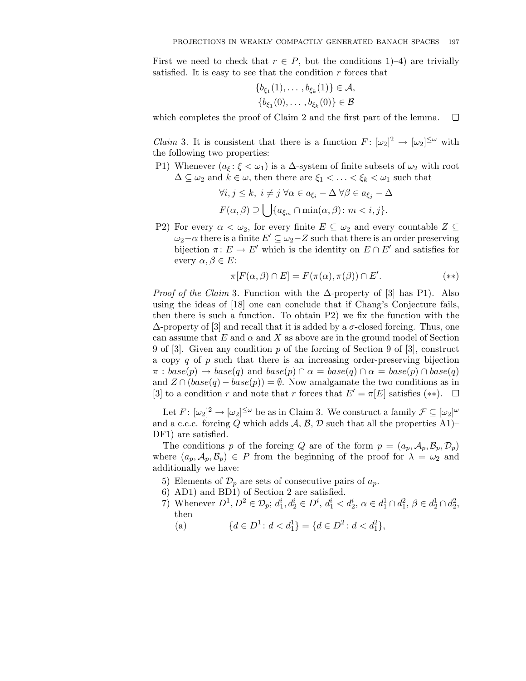First we need to check that  $r \in P$ , but the conditions 1)–4) are trivially satisfied. It is easy to see that the condition  $r$  forces that

$$
\{b_{\xi_1}(1), \ldots, b_{\xi_k}(1)\} \in \mathcal{A}, \{b_{\xi_1}(0), \ldots, b_{\xi_k}(0)\} \in \mathcal{B}
$$

which completes the proof of Claim 2 and the first part of the lemma.  $\Box$ 

*Claim* 3. It is consistent that there is a function  $F: [\omega_2]^2 \to [\omega_2]^{\leq \omega}$  with the following two properties:

P1) Whenever  $(a_{\xi} : \xi < \omega_1)$  is a  $\Delta$ -system of finite subsets of  $\omega_2$  with root  $\Delta \subseteq \omega_2$  and  $k \in \omega$ , then there are  $\xi_1 < \ldots < \xi_k < \omega_1$  such that

$$
\forall i, j \leq k, i \neq j \,\forall \alpha \in a_{\xi_i} - \Delta \,\forall \beta \in a_{\xi_j} - \Delta
$$

$$
F(\alpha, \beta) \supseteq \bigcup \{ a_{\xi_m} \cap \min(\alpha, \beta) : m < i, j \}.
$$

P2) For every  $\alpha < \omega_2$ , for every finite  $E \subseteq \omega_2$  and every countable  $Z \subseteq$  $\omega_2-\alpha$  there is a finite  $E' \subseteq \omega_2-Z$  such that there is an order preserving bijection  $\pi: E \to E'$  which is the identity on  $E \cap E'$  and satisfies for every  $\alpha, \beta \in E$ :

$$
\pi[F(\alpha,\beta)\cap E] = F(\pi(\alpha),\pi(\beta))\cap E'. \tag{**}
$$

*Proof of the Claim 3.* Function with the  $\Delta$ -property of [3] has P1). Also using the ideas of [18] one can conclude that if Chang's Conjecture fails, then there is such a function. To obtain P2) we fix the function with the  $\Delta$ -property of [3] and recall that it is added by a  $\sigma$ -closed forcing. Thus, one can assume that E and  $\alpha$  and X as above are in the ground model of Section 9 of [3]. Given any condition  $p$  of the forcing of Section 9 of [3], construct a copy q of p such that there is an increasing order-preserving bijection  $\pi : base(p) \rightarrow base(q)$  and  $base(p) \cap \alpha = base(q) \cap \alpha = base(p) \cap base(q)$ and  $Z \cap (base(q) - base(p)) = \emptyset$ . Now amalgamate the two conditions as in [3] to a condition r and note that r forces that  $E' = \pi[E]$  satisfies (\*\*).  $\Box$ 

Let  $F: [\omega_2]^2 \to [\omega_2]^{\leq \omega}$  be as in Claim 3. We construct a family  $\mathcal{F} \subseteq [\omega_2]^{\omega}$ and a c.c.c. forcing Q which adds  $A, B, D$  such that all the properties A1)– DF1) are satisfied.

The conditions p of the forcing Q are of the form  $p = (a_p, A_p, B_p, D_p)$ where  $(a_p, \mathcal{A}_p, \mathcal{B}_p) \in P$  from the beginning of the proof for  $\lambda = \omega_2$  and additionally we have:

- 5) Elements of  $\mathcal{D}_p$  are sets of consecutive pairs of  $a_p$ .
- 6) AD1) and BD1) of Section 2 are satisfied.
- 7) Whenever  $D^1, D^2 \in \mathcal{D}_p$ ;  $d_1^i, d_2^i \in D^i$ ,  $d_1^i < d_2^i$ ,  $\alpha \in d_1^1 \cap d_1^2$ ,  $\beta \in d_2^1 \cap d_2^2$ , then
	- (a)  $\{d \in D^1 : d < d_1^1\} = \{d \in D^2 : d < d_1^2\},\$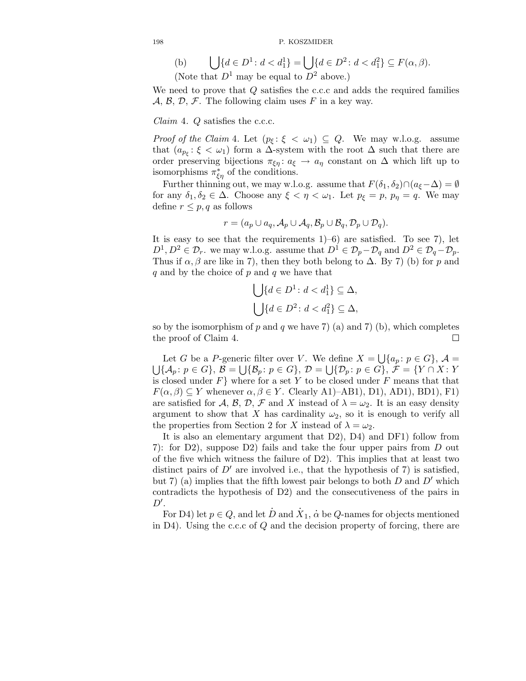(b) 
$$
\bigcup \{d \in D^1 : d < d_1^1\} = \bigcup \{d \in D^2 : d < d_1^2\} \subseteq F(\alpha, \beta).
$$
 (Note that  $D^1$  may be equal to  $D^2$  above.)

We need to prove that  $Q$  satisfies the c.c.c and adds the required families  $\mathcal{A}, \mathcal{B}, \mathcal{D}, \mathcal{F}$ . The following claim uses F in a key way.

*Claim* 4.  $Q$  satisfies the c.c.c.

*Proof of the Claim* 4. Let  $(p_{\xi} : \xi < \omega_1) \subseteq Q$ . We may w.l.o.g. assume that  $(a_{p_{\xi}}: \xi < \omega_1)$  form a  $\Delta$ -system with the root  $\Delta$  such that there are order preserving bijections  $\pi_{\xi\eta} : a_{\xi} \to a_{\eta}$  constant on  $\Delta$  which lift up to isomorphisms  $\pi_{\xi\eta}^*$  of the conditions.

Further thinning out, we may w.l.o.g. assume that  $F(\delta_1, \delta_2) \cap (a_{\xi}-\Delta) = \emptyset$ for any  $\delta_1, \delta_2 \in \Delta$ . Choose any  $\xi < \eta < \omega_1$ . Let  $p_{\xi} = p$ ,  $p_{\eta} = q$ . We may define  $r \leq p, q$  as follows

$$
r = (a_p \cup a_q, \mathcal{A}_p \cup \mathcal{A}_q, \mathcal{B}_p \cup \mathcal{B}_q, \mathcal{D}_p \cup \mathcal{D}_q).
$$

It is easy to see that the requirements  $1$ –6) are satisfied. To see 7), let  $D^1, D^2 \in \mathcal{D}_r$ , we may w.l.o.g. assume that  $D^1 \in \mathcal{D}_p - \mathcal{D}_q$  and  $D^2 \in \mathcal{D}_q - \mathcal{D}_p$ . Thus if  $\alpha$ ,  $\beta$  are like in 7), then they both belong to  $\Delta$ . By 7) (b) for p and  $q$  and by the choice of  $p$  and  $q$  we have that

$$
\bigcup \{d \in D^1 \colon d < d_1^1\} \subseteq \Delta,
$$
\n
$$
\bigcup \{d \in D^2 \colon d < d_1^2\} \subseteq \Delta,
$$

so by the isomorphism of p and q we have 7) (a) and 7) (b), which completes the proof of Claim 4.  $\Box$ 

Let G be a P-generic filter over V. We define  $X = \bigcup \{a_p : p \in G\}$ ,  $\mathcal{A} = \bigcup \{\mathcal{A}_n : p \in G\}$ ,  $\mathcal{B} = \bigcup \{\mathcal{B}_n : p \in G\}$ ,  $\mathcal{D} = \bigcup \{\mathcal{D}_n : p \in G\}$ ,  $\mathcal{F} = \{Y \cap X : Y\}$  ${A_p : p \in G}, \mathcal{B} = \bigcup {\mathcal{B}_p : p \in G}, \mathcal{D} = \bigcup {\mathcal{D}_p : p \in G}, \mathcal{F} = \{Y \cap X : Y \in G\}$ is closed under  $F$ } where for a set Y to be closed under  $F$  means that that  $F(\alpha, \beta) \subseteq Y$  whenever  $\alpha, \beta \in Y$ . Clearly A1)–AB1), D1), AD1), BD1), F1) are satisfied for A, B, D, F and X instead of  $\lambda = \omega_2$ . It is an easy density argument to show that X has cardinality  $\omega_2$ , so it is enough to verify all the properties from Section 2 for X instead of  $\lambda = \omega_2$ .

It is also an elementary argument that D2), D4) and DF1) follow from 7): for D2), suppose D2) fails and take the four upper pairs from D out of the five which witness the failure of D2). This implies that at least two distinct pairs of  $D'$  are involved i.e., that the hypothesis of 7) is satisfied, but 7) (a) implies that the fifth lowest pair belongs to both  $D$  and  $D'$  which contradicts the hypothesis of D2) and the consecutiveness of the pairs in  $D^{\prime}$ .

For D4) let  $p \in Q$ , and let  $\dot{D}$  and  $\dot{X}_1$ ,  $\dot{\alpha}$  be  $Q$ -names for objects mentioned in D4). Using the c.c.c of  $Q$  and the decision property of forcing, there are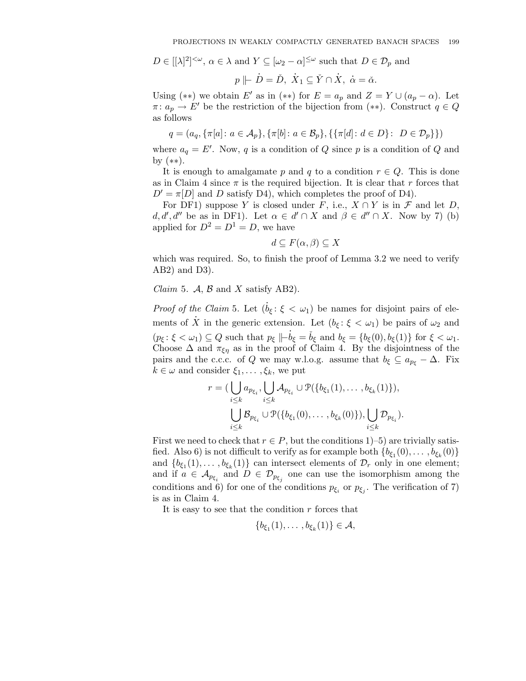$D \in [[\lambda]^2]^{<\omega}$ ,  $\alpha \in \lambda$  and  $Y \subseteq [\omega_2 - \alpha]^{\leq \omega}$  such that  $D \in \mathcal{D}_p$  and

$$
p \parallel \dot{D} = \check{D}, \ \dot{X}_1 \subseteq \check{Y} \cap \dot{X}, \ \dot{\alpha} = \check{\alpha}.
$$

Using (\*\*) we obtain E' as in (\*\*) for  $E = a_p$  and  $Z = Y \cup (a_p - \alpha)$ . Let  $\pi: a_p \to E'$  be the restriction of the bijection from  $(**)$ . Construct  $q \in Q$ as follows

$$
q = (a_q, \{\pi[a]\colon a\in\mathcal A_p\}, \{\pi[b]\colon a\in\mathcal B_p\}, \{\{\pi[d]\colon d\in D\}\colon\ D\in\mathcal D_p\}\})
$$

where  $a_q = E'$ . Now, q is a condition of Q since p is a condition of Q and by (∗∗).

It is enough to amalgamate p and q to a condition  $r \in Q$ . This is done as in Claim 4 since  $\pi$  is the required bijection. It is clear that r forces that  $D' = \pi[D]$  and D satisfy D4), which completes the proof of D4).

For DF1) suppose Y is closed under F, i.e.,  $X \cap Y$  is in F and let D,  $d, d', d''$  be as in DF1). Let  $\alpha \in d' \cap X$  and  $\beta \in d'' \cap X$ . Now by 7) (b) applied for  $D^2 = D^1 = D$ , we have

$$
d \subseteq F(\alpha, \beta) \subseteq X
$$

which was required. So, to finish the proof of Lemma 3.2 we need to verify AB2) and D3).

*Claim 5.*  $\mathcal{A}, \mathcal{B}$  and  $X$  satisfy AB2).

*Proof of the Claim* 5. Let  $(\dot{b}_{\xi}: \xi < \omega_1)$  be names for disjoint pairs of elements of  $\overrightarrow{X}$  in the generic extension. Let  $(b_{\xi}: \xi < \omega_1)$  be pairs of  $\omega_2$  and  $(p_{\xi} : \xi < \omega_1) \subseteq Q$  such that  $p_{\xi} \Vdash \dot{b}_{\xi} = \check{b}_{\xi}$  and  $b_{\xi} = \{b_{\xi}(0), b_{\xi}(1)\}$  for  $\xi < \omega_1$ . Choose  $\Delta$  and  $\pi_{\xi\eta}$  as in the proof of Claim 4. By the disjointness of the pairs and the c.c.c. of Q we may w.l.o.g. assume that  $b_{\xi} \subseteq a_{p_{\xi}} - \Delta$ . Fix  $k \in \omega$  and consider  $\xi_1, \ldots, \xi_k$ , we put

$$
r = (\bigcup_{i \leq k} a_{p_{\xi_i}}, \bigcup_{i \leq k} A_{p_{\xi_i}} \cup \mathcal{P}(\{b_{\xi_1}(1), \dots, b_{\xi_k}(1)\}),
$$

$$
\bigcup_{i \leq k} \mathcal{B}_{p_{\xi_i}} \cup \mathcal{P}(\{b_{\xi_1}(0), \dots, b_{\xi_k}(0)\}), \bigcup_{i \leq k} \mathcal{D}_{p_{\xi_i}}).
$$

First we need to check that  $r \in P$ , but the conditions 1)–5) are trivially satisfied. Also 6) is not difficult to verify as for example both  ${b_{\xi_1}(0), \ldots, b_{\xi_k}(0)}$ and  $\{b_{\xi_1}(1), \ldots, b_{\xi_k}(1)\}\)$  can intersect elements of  $\mathcal{D}_r$  only in one element; and if  $a \in \mathcal{A}_{p_{\xi_i}}$  and  $D \in \mathcal{D}_{p_{\xi_j}}$  one can use the isomorphism among the conditions and 6) for one of the conditions  $p_{\xi_i}$  or  $p_{\xi_j}$ . The verification of 7) is as in Claim 4.

It is easy to see that the condition  $r$  forces that

$$
\{b_{\xi_1}(1),\ldots,b_{\xi_k}(1)\}\in\mathcal{A},
$$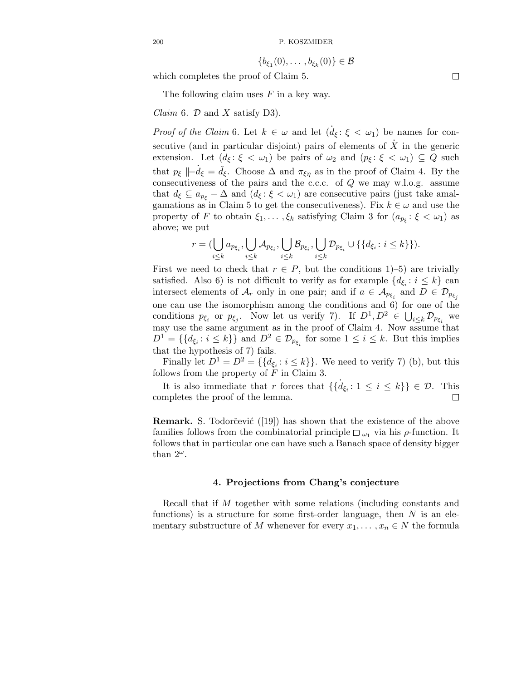$$
\{b_{\xi_1}(0),\ldots,b_{\xi_k}(0)\}\in\mathcal{B}
$$

which completes the proof of Claim 5.

The following claim uses  $F$  in a key way.

*Claim 6.*  $D$  and  $X$  satisfy D3).

*Proof of the Claim* 6. Let  $k \in \omega$  and let  $(\dot{d}_{\xi}: \xi < \omega_1)$  be names for consecutive (and in particular disjoint) pairs of elements of  $\dot{X}$  in the generic extension. Let  $(d_{\xi} : \xi < \omega_1)$  be pairs of  $\omega_2$  and  $(p_{\xi} : \xi < \omega_1) \subseteq Q$  such that  $p_{\xi} \parallel -d_{\xi} = d_{\xi}$ . Choose  $\Delta$  and  $\pi_{\xi\eta}$  as in the proof of Claim 4. By the consecutiveness of the pairs and the c.c.c. of Q we may w.l.o.g. assume that  $d_{\xi} \subseteq a_{p_{\xi}} - \Delta$  and  $(d_{\xi} : \xi < \omega_1)$  are consecutive pairs (just take amalgamations as in Claim 5 to get the consecutiveness). Fix  $k \in \omega$  and use the property of F to obtain  $\xi_1, \ldots, \xi_k$  satisfying Claim 3 for  $(a_{p_{\xi}}: \xi < \omega_1)$  as above; we put

$$
r=(\bigcup_{i\leq k}a_{p_{\xi_i}},\bigcup_{i\leq k}\mathcal{A}_{p_{\xi_i}},\bigcup_{i\leq k}\mathcal{B}_{p_{\xi_i}},\bigcup_{i\leq k}\mathcal{D}_{p_{\xi_i}}\cup\{\{d_{\xi_i}\colon i\leq k\}\}.
$$

First we need to check that  $r \in P$ , but the conditions 1)–5) are trivially satisfied. Also 6) is not difficult to verify as for example  $\{d_{\xi_i}: i \leq k\}$  can intersect elements of  $\mathcal{A}_r$  only in one pair; and if  $a \in \mathcal{A}_{p_{\xi_i}}$  and  $D \in \mathcal{D}_{p_{\xi_j}}$ one can use the isomorphism among the conditions and  $6)$  for one of the conditions  $p_{\xi_i}$  or  $p_{\xi_j}$ . Now let us verify 7). If  $D^1, D^2 \in \bigcup_{i \leq k} \mathcal{D}_{p_{\xi_i}}$  we may use the same argument as in the proof of Claim 4. Now assume that  $D^1 = \{\{d_{\xi_i}: i \leq k\}\}\$ and  $D^2 \in \mathcal{D}_{p_{\xi_i}}\$ for some  $1 \leq i \leq k$ . But this implies that the hypothesis of 7) fails.

Finally let  $D^1 = D^2 = \{\{d_{\xi_i}: i \leq k\}\}\.$  We need to verify 7) (b), but this follows from the property of  $F$  in Claim 3.

It is also immediate that r forces that  $\{\{d_{\xi_i}: 1 \leq i \leq k\}\}\in \mathcal{D}$ . This completes the proof of the lemma.

**Remark.** S. Todorčević  $([19])$  has shown that the existence of the above families follows from the combinatorial principle  $\Box_{\omega_1}$  via his  $\rho$ -function. It follows that in particular one can have such a Banach space of density bigger than  $2^{\omega}$ .

## 4. Projections from Chang's conjecture

Recall that if M together with some relations (including constants and functions) is a structure for some first-order language, then  $N$  is an elementary substructure of M whenever for every  $x_1, \ldots, x_n \in N$  the formula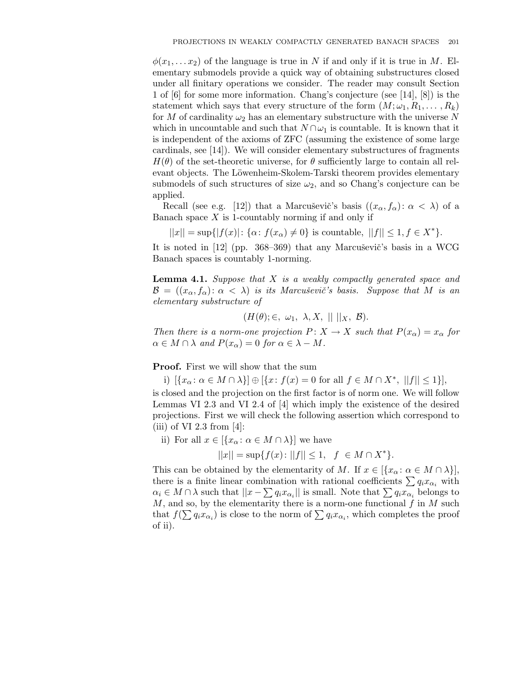$\phi(x_1, \ldots, x_2)$  of the language is true in N if and only if it is true in M. Elementary submodels provide a quick way of obtaining substructures closed under all finitary operations we consider. The reader may consult Section 1 of [6] for some more information. Chang's conjecture (see [14], [8]) is the statement which says that every structure of the form  $(M; \omega_1, R_1, \ldots, R_k)$ for M of cardinality  $\omega_2$  has an elementary substructure with the universe N which in uncountable and such that  $N \cap \omega_1$  is countable. It is known that it is independent of the axioms of ZFC (assuming the existence of some large cardinals, see [14]). We will consider elementary substructures of fragments  $H(\theta)$  of the set-theoretic universe, for  $\theta$  sufficiently large to contain all relevant objects. The Löwenheim-Skolem-Tarski theorem provides elementary submodels of such structures of size  $\omega_2$ , and so Chang's conjecture can be applied.

Recall (see e.g. [12]) that a Marcusevic's basis  $((x_{\alpha}, f_{\alpha}) : \alpha < \lambda)$  of a Banach space  $X$  is 1-countably norming if and only if

 $||x|| = \sup{ |f(x)| : {\alpha : f(x_{\alpha}) \neq 0} }$  is countable,  $||f|| \leq 1, f \in X^* }$ .

It is noted in  $[12]$  (pp. 368–369) that any Marcusevic's basis in a WCG Banach spaces is countably 1-norming.

**Lemma 4.1.** Suppose that  $X$  is a weakly compactly generated space and  $\mathcal{B} = ((x_{\alpha}, f_{\alpha}) : \alpha < \lambda)$  is its Marcuševič's basis. Suppose that M is an elementary substructure of

$$
(H(\theta);\in,\ \omega_1,\ \lambda,X,\ ||\ ||_X,\ \mathcal{B}).
$$

Then there is a norm-one projection  $P: X \to X$  such that  $P(x_{\alpha}) = x_{\alpha}$  for  $\alpha \in M \cap \lambda$  and  $P(x_{\alpha}) = 0$  for  $\alpha \in \lambda - M$ .

Proof. First we will show that the sum

i)  $[\{x_{\alpha} : \alpha \in M \cap \lambda\}] \oplus [\{x : f(x) = 0 \text{ for all } f \in M \cap X^*, ||f|| \le 1\}],$ 

is closed and the projection on the first factor is of norm one. We will follow Lemmas VI 2.3 and VI 2.4 of [4] which imply the existence of the desired projections. First we will check the following assertion which correspond to (iii) of VI 2.3 from  $[4]$ :

ii) For all  $x \in \{x_\alpha : \alpha \in M \cap \lambda\}$  we have

 $||x|| = \sup\{f(x): ||f|| \leq 1, \, f \in M \cap X^*\}.$ 

This can be obtained by the elementarity of M. If  $x \in [{x_\alpha : \alpha \in M \cap \lambda}]$ , there is a finite linear combination with rational coefficients  $\sum q_i x_{\alpha_i}$  with  $\alpha_i \in M \cap \lambda$  such that  $||x - \sum q_i x_{\alpha_i}||$  is small. Note that  $\sum q_i x_{\alpha_i}$  belongs to  $M$ , and so, by the elementarity there is a norm-one functional  $f$  in  $M$  such that  $f(\sum q_i x_{\alpha_i})$  is close to the norm of  $\sum q_i x_{\alpha_i}$ , which completes the proof of ii).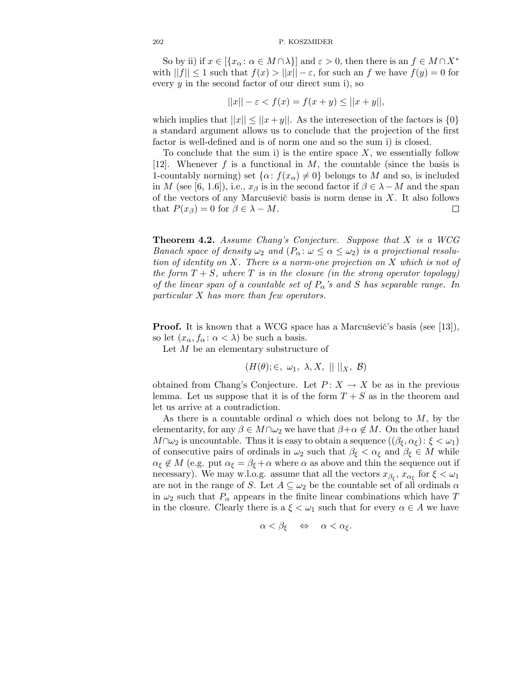So by ii) if  $x \in \{x_\alpha : \alpha \in M \cap \lambda\}$  and  $\varepsilon > 0$ , then there is an  $f \in M \cap X^*$ with  $||f|| \leq 1$  such that  $f(x) > ||x|| - \varepsilon$ , for such an f we have  $f(y) = 0$  for every  $y$  in the second factor of our direct sum i), so

$$
||x|| - \varepsilon < f(x) = f(x + y) \le ||x + y||,
$$

which implies that  $||x|| \le ||x+y||$ . As the interesection of the factors is  $\{0\}$ a standard argument allows us to conclude that the projection of the first factor is well-defined and is of norm one and so the sum i) is closed.

To conclude that the sum i) is the entire space  $X$ , we essentially follow [12]. Whenever f is a functional in M, the countable (since the basis is 1-countably norming) set  $\{\alpha: f(x_{\alpha}) \neq 0\}$  belongs to M and so, is included in M (see [6, 1.6]), i.e.,  $x_\beta$  is in the second factor if  $\beta \in \lambda - M$  and the span of the vectors of any Marcuševič basis is norm dense in  $X$ . It also follows that  $P(x_\beta) = 0$  for  $\beta \in \lambda - M$ .  $\Box$ 

Theorem 4.2. Assume Chang's Conjecture. Suppose that X is a WCG Banach space of density  $\omega_2$  and  $(P_\alpha: \omega \leq \alpha \leq \omega_2)$  is a projectional resolution of identity on X. There is a norm-one projection on X which is not of the form  $T + S$ , where T is in the closure (in the strong operator topology) of the linear span of a countable set of  $P_{\alpha}$ 's and S has separable range. In particular X has more than few operators.

**Proof.** It is known that a WCG space has a Marcusevic's basis (see [13]), so let  $(x_{\alpha}, f_{\alpha} : \alpha < \lambda)$  be such a basis.

Let  $M$  be an elementary substructure of

$$
(H(\theta);\in,\ \omega_1,\ \lambda,X,\ ||\ ||_X,\ \mathcal{B})
$$

obtained from Chang's Conjecture. Let  $P: X \to X$  be as in the previous lemma. Let us suppose that it is of the form  $T + S$  as in the theorem and let us arrive at a contradiction.

As there is a countable ordinal  $\alpha$  which does not belong to M, by the elementarity, for any  $\beta \in M \cap \omega_2$  we have that  $\beta + \alpha \notin M$ . On the other hand  $M\cap\omega_2$  is uncountable. Thus it is easy to obtain a sequence  $((\beta_{\xi}, \alpha_{\xi}): \xi < \omega_1)$ of consecutive pairs of ordinals in  $\omega_2$  such that  $\beta_{\xi} < \alpha_{\xi}$  and  $\beta_{\xi} \in M$  while  $\alpha_{\xi} \notin M$  (e.g. put  $\alpha_{\xi} = \beta_{\xi} + \alpha$  where  $\alpha$  as above and thin the sequence out if necessary). We may w.l.o.g. assume that all the vectors  $x_{\beta_{\xi}}, x_{\alpha_{\xi}}$  for  $\xi < \omega_1$ are not in the range of S. Let  $A \subseteq \omega_2$  be the countable set of all ordinals  $\alpha$ in  $\omega_2$  such that  $P_\alpha$  appears in the finite linear combinations which have T in the closure. Clearly there is a  $\xi < \omega_1$  such that for every  $\alpha \in A$  we have

$$
\alpha < \beta_{\xi} \quad \Leftrightarrow \quad \alpha < \alpha_{\xi}.
$$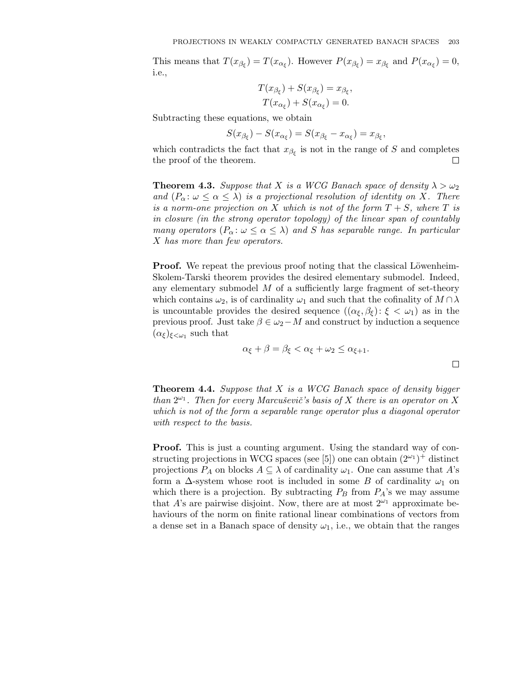This means that  $T(x_{\beta_{\xi}}) = T(x_{\alpha_{\xi}})$ . However  $P(x_{\beta_{\xi}}) = x_{\beta_{\xi}}$  and  $P(x_{\alpha_{\xi}}) = 0$ , i.e.,

$$
T(x_{\beta_{\xi}}) + S(x_{\beta_{\xi}}) = x_{\beta_{\xi}},
$$
  

$$
T(x_{\alpha_{\xi}}) + S(x_{\alpha_{\xi}}) = 0.
$$

Subtracting these equations, we obtain

$$
S(x_{\beta_{\xi}}) - S(x_{\alpha_{\xi}}) = S(x_{\beta_{\xi}} - x_{\alpha_{\xi}}) = x_{\beta_{\xi}},
$$

which contradicts the fact that  $x_{\beta_{\xi}}$  is not in the range of S and completes the proof of the theorem.  $\Box$ 

**Theorem 4.3.** Suppose that X is a WCG Banach space of density  $\lambda > \omega_2$ and  $(P_{\alpha} : \omega \leq \alpha \leq \lambda)$  is a projectional resolution of identity on X. There is a norm-one projection on X which is not of the form  $T + S$ , where T is in closure (in the strong operator topology) of the linear span of countably many operators  $(P_\alpha: \omega \leq \alpha \leq \lambda)$  and S has separable range. In particular X has more than few operators.

**Proof.** We repeat the previous proof noting that the classical Löwenheim-Skolem-Tarski theorem provides the desired elementary submodel. Indeed, any elementary submodel  $M$  of a sufficiently large fragment of set-theory which contains  $\omega_2$ , is of cardinality  $\omega_1$  and such that the cofinality of  $M \cap \lambda$ is uncountable provides the desired sequence  $((\alpha_{\xi}, \beta_{\xi}) : \xi < \omega_1)$  as in the previous proof. Just take  $\beta \in \omega_2 - M$  and construct by induction a sequence  $(\alpha_{\xi})_{\xi < \omega_1}$  such that

$$
\alpha_{\xi} + \beta = \beta_{\xi} < \alpha_{\xi} + \omega_2 \le \alpha_{\xi+1}.
$$

**Theorem 4.4.** Suppose that  $X$  is a WCG Banach space of density bigger than  $2^{\omega_1}$ . Then for every Marcuševič's basis of X there is an operator on X which is not of the form a separable range operator plus a diagonal operator with respect to the basis.

**Proof.** This is just a counting argument. Using the standard way of constructing projections in WCG spaces (see [5]) one can obtain  $(2^{\omega_1})^+$  distinct projections  $P_A$  on blocks  $A \subseteq \lambda$  of cardinality  $\omega_1$ . One can assume that A's form a  $\Delta$ -system whose root is included in some B of cardinality  $\omega_1$  on which there is a projection. By subtracting  $P_B$  from  $P_A$ 's we may assume that A's are pairwise disjoint. Now, there are at most  $2^{\omega_1}$  approximate behaviours of the norm on finite rational linear combinations of vectors from a dense set in a Banach space of density  $\omega_1$ , i.e., we obtain that the ranges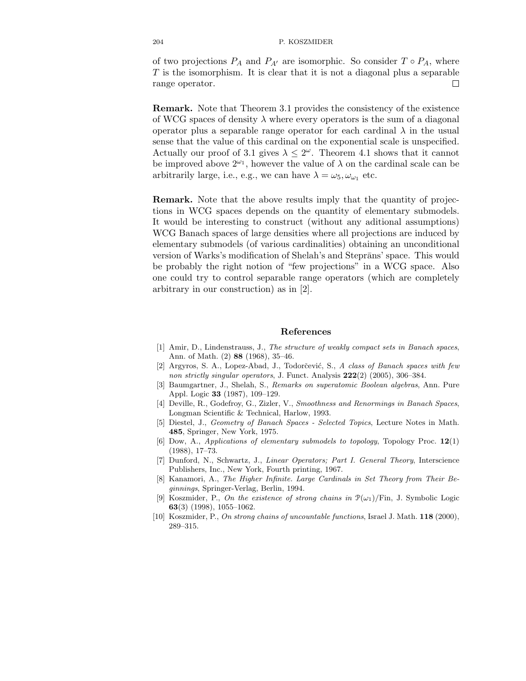of two projections  $P_A$  and  $P_{A'}$  are isomorphic. So consider  $T \circ P_A$ , where T is the isomorphism. It is clear that it is not a diagonal plus a separable range operator. П

Remark. Note that Theorem 3.1 provides the consistency of the existence of WCG spaces of density  $\lambda$  where every operators is the sum of a diagonal operator plus a separable range operator for each cardinal  $\lambda$  in the usual sense that the value of this cardinal on the exponential scale is unspecified. Actually our proof of 3.1 gives  $\lambda \leq 2^{\omega}$ . Theorem 4.1 shows that it cannot be improved above  $2^{\omega_1}$ , however the value of  $\lambda$  on the cardinal scale can be arbitrarily large, i.e., e.g., we can have  $\lambda = \omega_5, \omega_{\omega_1}$  etc.

Remark. Note that the above results imply that the quantity of projections in WCG spaces depends on the quantity of elementary submodels. It would be interesting to construct (without any aditional assumptions) WCG Banach spaces of large densities where all projections are induced by elementary submodels (of various cardinalities) obtaining an unconditional version of Warks's modification of Shelah's and Steprāns' space. This would be probably the right notion of "few projections" in a WCG space. Also one could try to control separable range operators (which are completely arbitrary in our construction) as in [2].

## References

- [1] Amir, D., Lindenstrauss, J., The structure of weakly compact sets in Banach spaces, Ann. of Math. (2) 88 (1968), 35–46.
- [2] Argyros, S. A., Lopez-Abad, J., Todorčević, S., A class of Banach spaces with few non strictly singular operators, J. Funct. Analysis 222(2) (2005), 306–384.
- [3] Baumgartner, J., Shelah, S., Remarks on superatomic Boolean algebras, Ann. Pure Appl. Logic 33 (1987), 109–129.
- [4] Deville, R., Godefroy, G., Zizler, V., Smoothness and Renormings in Banach Spaces, Longman Scientific & Technical, Harlow, 1993.
- [5] Diestel, J., Geometry of Banach Spaces Selected Topics, Lecture Notes in Math. 485, Springer, New York, 1975.
- [6] Dow, A., Applications of elementary submodels to topology, Topology Proc. 12(1) (1988), 17–73.
- [7] Dunford, N., Schwartz, J., Linear Operators; Part I. General Theory, Interscience Publishers, Inc., New York, Fourth printing, 1967.
- [8] Kanamori, A., The Higher Infinite. Large Cardinals in Set Theory from Their Beginnings, Springer-Verlag, Berlin, 1994.
- [9] Koszmider, P., On the existence of strong chains in  $\mathcal{P}(\omega_1)/\text{Fin}$ , J. Symbolic Logic 63(3) (1998), 1055–1062.
- [10] Koszmider, P., On strong chains of uncountable functions, Israel J. Math. 118 (2000), 289–315.